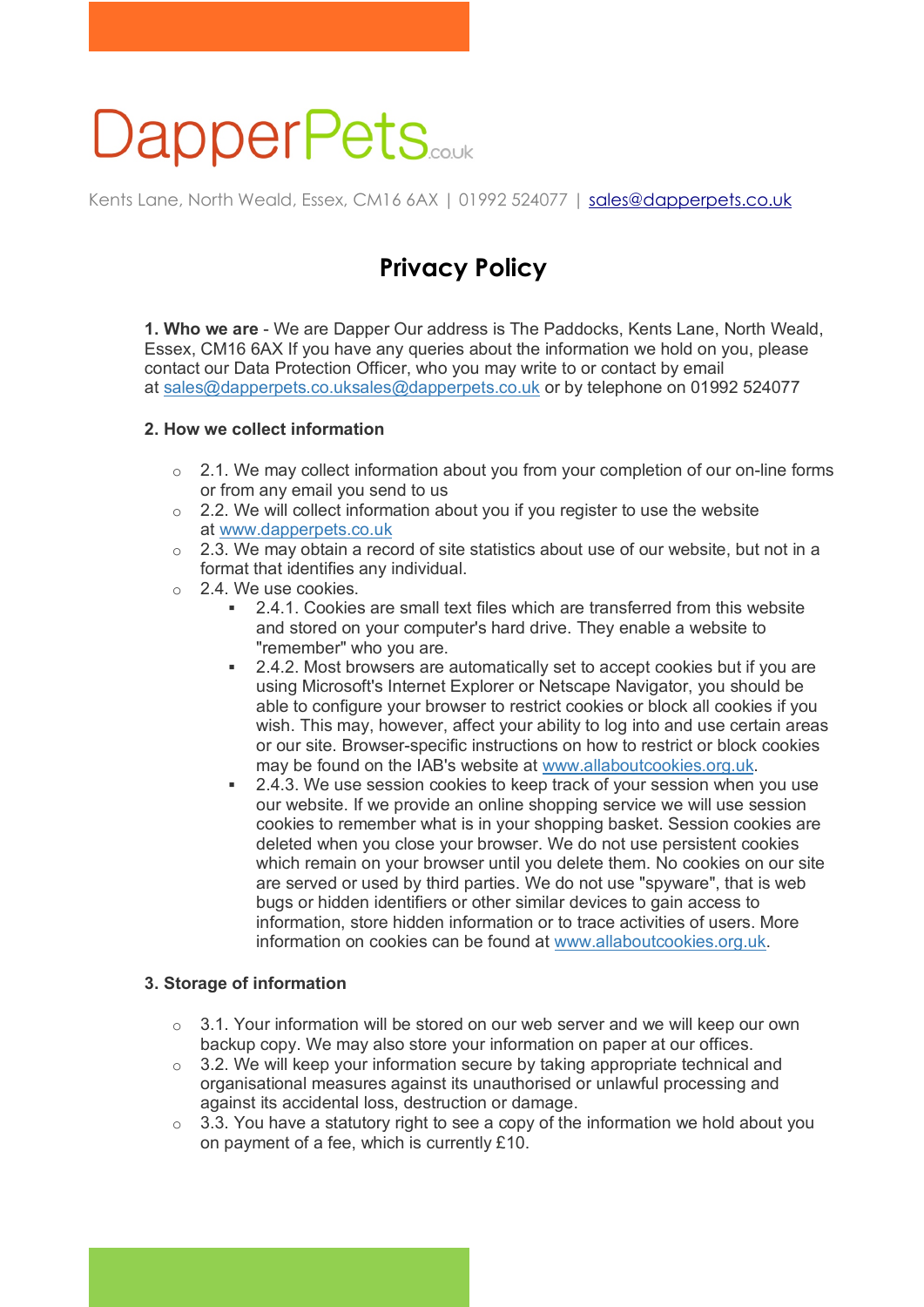# **DapperPets**

Kents Lane, North Weald, Essex, CM16 6AX | 01992 524077 | sales@dapperpets.co.uk

## **Privacy Policy**

**1. Who we are** - We are Dapper Our address is The Paddocks, Kents Lane, North Weald, Essex, CM16 6AX If you have any queries about the information we hold on you, please contact our Data Protection Officer, who you may write to or contact by email at sales@dapperpets.co.uksales@dapperpets.co.uk or by telephone on 01992 524077

#### **2. How we collect information**

- $\circ$  2.1. We may collect information about you from your completion of our on-line forms or from any email you send to us
- $\circ$  2.2. We will collect information about you if you register to use the website at www.dapperpets.co.uk
- $\circ$  2.3. We may obtain a record of site statistics about use of our website, but not in a format that identifies any individual.
- o 2.4. We use cookies.
	- § 2.4.1. Cookies are small text files which are transferred from this website and stored on your computer's hard drive. They enable a website to "remember" who you are.
	- 2.4.2. Most browsers are automatically set to accept cookies but if you are using Microsoft's Internet Explorer or Netscape Navigator, you should be able to configure your browser to restrict cookies or block all cookies if you wish. This may, however, affect your ability to log into and use certain areas or our site. Browser-specific instructions on how to restrict or block cookies may be found on the IAB's website at www.allaboutcookies.org.uk.
	- 2.4.3. We use session cookies to keep track of your session when you use our website. If we provide an online shopping service we will use session cookies to remember what is in your shopping basket. Session cookies are deleted when you close your browser. We do not use persistent cookies which remain on your browser until you delete them. No cookies on our site are served or used by third parties. We do not use "spyware", that is web bugs or hidden identifiers or other similar devices to gain access to information, store hidden information or to trace activities of users. More information on cookies can be found at www.allaboutcookies.org.uk.

#### **3. Storage of information**

- $\circ$  3.1. Your information will be stored on our web server and we will keep our own backup copy. We may also store your information on paper at our offices.
- $\circ$  3.2. We will keep your information secure by taking appropriate technical and organisational measures against its unauthorised or unlawful processing and against its accidental loss, destruction or damage.
- $\circ$  3.3. You have a statutory right to see a copy of the information we hold about you on payment of a fee, which is currently £10.